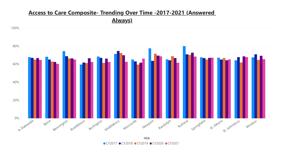## **Access to Care Composite- Trending Over Time -2017-2021 (Answered Always)**



**HSA** ● CY2017 ● CY2018 ● CY2019 ● CY2020 ● CY2021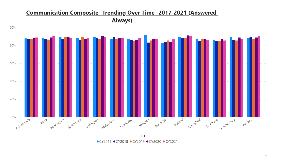## **Communication Composite- Trending Over Time -2017-2021 (Answered Always)**



● CY2017 ● CY2018 ● CY2019 ● CY2020 ● CY2021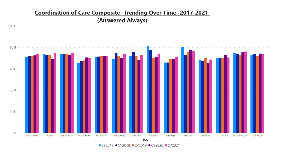## **Coordination of Care Composite- Trending Over Time -2017-2021 (Answered Always)**

100%



● CY2017 ● CY2018 ● CY2019 ● CY2020 ● CY2021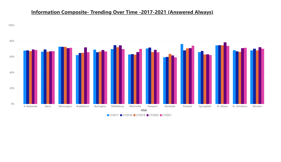# **Information Composite- Trending Over Time -2017-2021 (Answered Always)**



●CY2017 ●CY2018 ●CY2019 ●CY2020 ●CY2021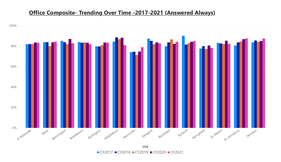#### **Office Composite- Trending Over Time -2017-2021 (Answered Always)**



**HSA** 

● CY2017 ● CY2018 ● CY2019 ● CY2020 ● CY2021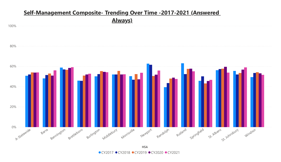## **Self-Management Composite- Trending Over Time -2017-2021 (Answered Always)**



**HSA** 

●CY2017 ●CY2018 ●CY2019 ●CY2020 ●CY2021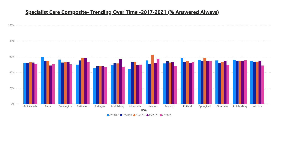# **Specialist Care Composite- Trending Over Time -2017-2021 (% Answered Always)**



●CY2017 ●CY2018 ●CY2019 ●CY2020 ●CY2021